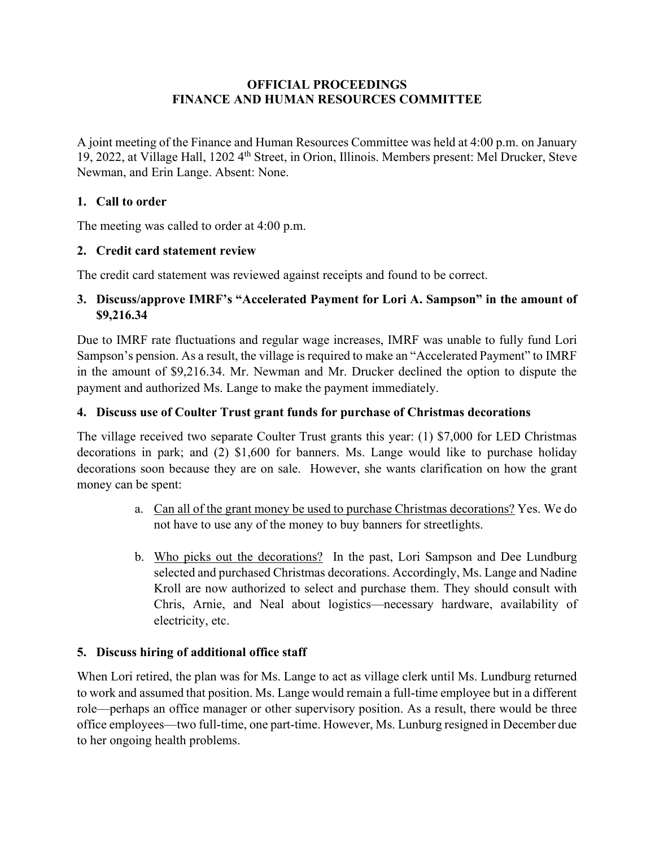#### OFFICIAL PROCEEDINGS FINANCE AND HUMAN RESOURCES COMMITTEE

A joint meeting of the Finance and Human Resources Committee was held at 4:00 p.m. on January 19, 2022, at Village Hall, 1202 4<sup>th</sup> Street, in Orion, Illinois. Members present: Mel Drucker, Steve Newman, and Erin Lange. Absent: None.

# 1. Call to order

The meeting was called to order at 4:00 p.m.

## 2. Credit card statement review

The credit card statement was reviewed against receipts and found to be correct.

# 3. Discuss/approve IMRF's "Accelerated Payment for Lori A. Sampson" in the amount of \$9,216.34

Due to IMRF rate fluctuations and regular wage increases, IMRF was unable to fully fund Lori Sampson's pension. As a result, the village is required to make an "Accelerated Payment" to IMRF in the amount of \$9,216.34. Mr. Newman and Mr. Drucker declined the option to dispute the payment and authorized Ms. Lange to make the payment immediately.

## 4. Discuss use of Coulter Trust grant funds for purchase of Christmas decorations

The village received two separate Coulter Trust grants this year: (1) \$7,000 for LED Christmas decorations in park; and (2) \$1,600 for banners. Ms. Lange would like to purchase holiday decorations soon because they are on sale. However, she wants clarification on how the grant money can be spent:

- a. Can all of the grant money be used to purchase Christmas decorations? Yes. We do not have to use any of the money to buy banners for streetlights.
- b. Who picks out the decorations? In the past, Lori Sampson and Dee Lundburg selected and purchased Christmas decorations. Accordingly, Ms. Lange and Nadine Kroll are now authorized to select and purchase them. They should consult with Chris, Arnie, and Neal about logistics—necessary hardware, availability of electricity, etc.

## 5. Discuss hiring of additional office staff

When Lori retired, the plan was for Ms. Lange to act as village clerk until Ms. Lundburg returned to work and assumed that position. Ms. Lange would remain a full-time employee but in a different role—perhaps an office manager or other supervisory position. As a result, there would be three office employees—two full-time, one part-time. However, Ms. Lunburg resigned in December due to her ongoing health problems.